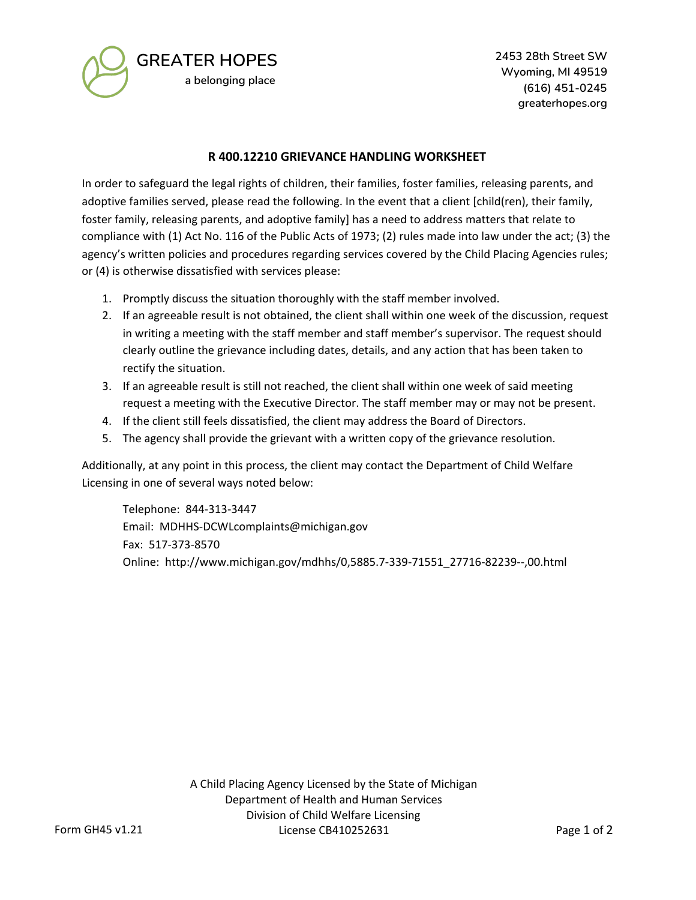

**GREATER HOPES a belonging place**

**2453 28th Street SW Wyoming, MI 49519 (616) 451-0245 greaterhopes.org**

## **R 400.12210 GRIEVANCE HANDLING WORKSHEET**

In order to safeguard the legal rights of children, their families, foster families, releasing parents, and adoptive families served, please read the following. In the event that a client [child(ren), their family, foster family, releasing parents, and adoptive family] has a need to address matters that relate to compliance with (1) Act No. 116 of the Public Acts of 1973; (2) rules made into law under the act; (3) the agency's written policies and procedures regarding services covered by the Child Placing Agencies rules; or (4) is otherwise dissatisfied with services please:

- 1. Promptly discuss the situation thoroughly with the staff member involved.
- 2. If an agreeable result is not obtained, the client shall within one week of the discussion, request in writing a meeting with the staff member and staff member's supervisor. The request should clearly outline the grievance including dates, details, and any action that has been taken to rectify the situation.
- 3. If an agreeable result is still not reached, the client shall within one week of said meeting request a meeting with the Executive Director. The staff member may or may not be present.
- 4. If the client still feels dissatisfied, the client may address the Board of Directors.
- 5. The agency shall provide the grievant with a written copy of the grievance resolution.

Additionally, at any point in this process, the client may contact the Department of Child Welfare Licensing in one of several ways noted below:

Telephone: 844-313-3447 Email: MDHHS-DCWLcomplaints@michigan.gov Fax: 517-373-8570 Online: http://www.michigan.gov/mdhhs/0,5885.7-339-71551\_27716-82239--,00.html

> A Child Placing Agency Licensed by the State of Michigan Department of Health and Human Services Division of Child Welfare Licensing License CB410252631 Page 1 of 2